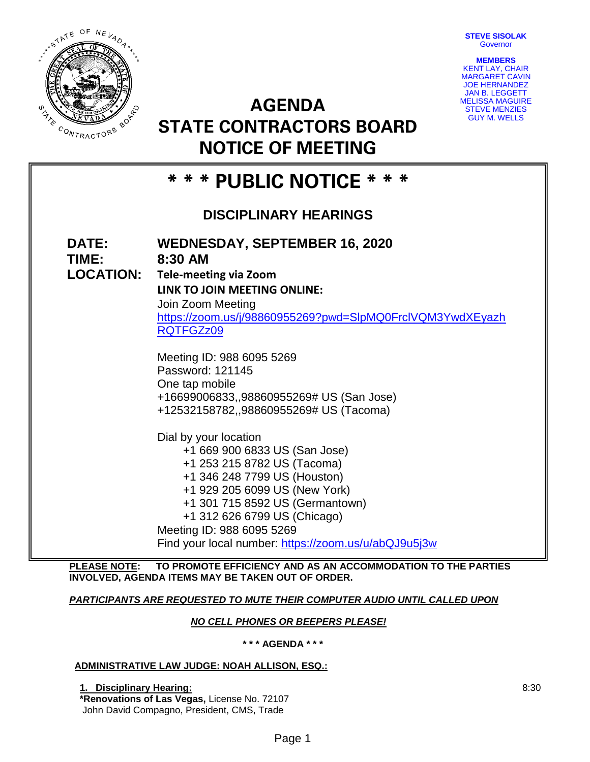**STEVE SISOLAK Governor** 



**MEMBERS** KENT LAY, CHAIR MARGARET CAVIN JOE HERNANDEZ JAN B. LEGGETT MELISSA MAGUIRE STEVE MENZIES GUY M. WELLS

# **AGENDA STATE CONTRACTORS BOARD NOTICE OF MEETING**

# **\* \* \* PUBLIC NOTICE \* \* \* DISCIPLINARY HEARINGS DATE: WEDNESDAY, SEPTEMBER 16, 2020 TIME: 8:30 AM LOCATION: Tele-meeting via Zoom LINK TO JOIN MEETING ONLINE:** Join Zoom Meeting [https://zoom.us/j/98860955269?pwd=SlpMQ0FrclVQM3YwdXEyazh](https://zoom.us/j/98860955269?pwd=SlpMQ0FrclVQM3YwdXEyazhRQTFGZz09) [RQTFGZz09](https://zoom.us/j/98860955269?pwd=SlpMQ0FrclVQM3YwdXEyazhRQTFGZz09) Meeting ID: 988 6095 5269 Password: 121145 One tap mobile +16699006833,,98860955269# US (San Jose) +12532158782,,98860955269# US (Tacoma) Dial by your location +1 669 900 6833 US (San Jose) +1 253 215 8782 US (Tacoma) +1 346 248 7799 US (Houston) +1 929 205 6099 US (New York) +1 301 715 8592 US (Germantown) +1 312 626 6799 US (Chicago) Meeting ID: 988 6095 5269 Find your local number:<https://zoom.us/u/abQJ9u5j3w>

**PLEASE NOTE: TO PROMOTE EFFICIENCY AND AS AN ACCOMMODATION TO THE PARTIES INVOLVED, AGENDA ITEMS MAY BE TAKEN OUT OF ORDER.**

## *PARTICIPANTS ARE REQUESTED TO MUTE THEIR COMPUTER AUDIO UNTIL CALLED UPON*

### *NO CELL PHONES OR BEEPERS PLEASE!*

**\* \* \* AGENDA \* \* \***

#### **ADMINISTRATIVE LAW JUDGE: NOAH ALLISON, ESQ.:**

**1. Disciplinary Hearing:**

**\*Renovations of Las Vegas,** License No. 72107 John David Compagno, President, CMS, Trade

8:30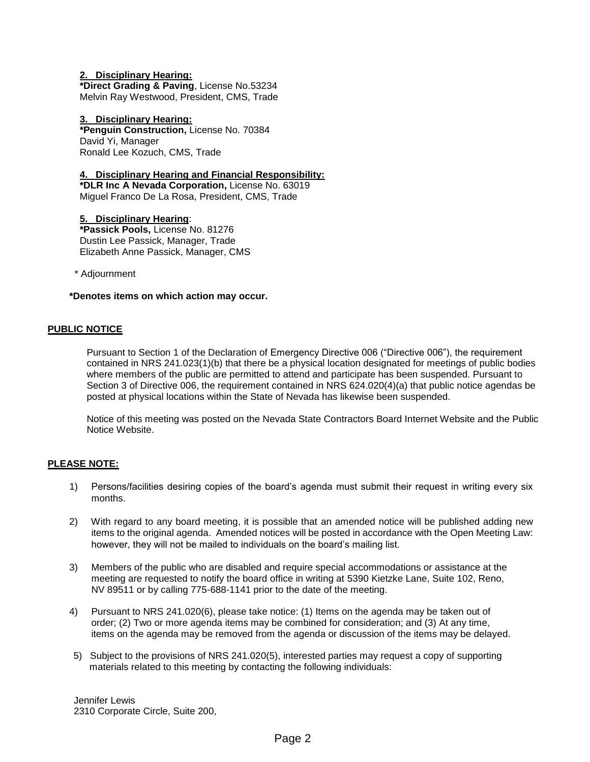#### **2. Disciplinary Hearing:**

**\*Direct Grading & Paving**, License No.53234 Melvin Ray Westwood, President, CMS, Trade

**3. Disciplinary Hearing: \*Penguin Construction,** License No. 70384 David Yi, Manager Ronald Lee Kozuch, CMS, Trade

#### **4. Disciplinary Hearing and Financial Responsibility:**

**\*DLR Inc A Nevada Corporation,** License No. 63019 Miguel Franco De La Rosa, President, CMS, Trade

**5. Disciplinary Hearing**: **\*Passick Pools,** License No. 81276 Dustin Lee Passick, Manager, Trade Elizabeth Anne Passick, Manager, CMS

\* Adjournment

#### **\*Denotes items on which action may occur.**

#### **PUBLIC NOTICE**

Pursuant to Section 1 of the Declaration of Emergency Directive 006 ("Directive 006"), the requirement contained in NRS 241.023(1)(b) that there be a physical location designated for meetings of public bodies where members of the public are permitted to attend and participate has been suspended. Pursuant to Section 3 of Directive 006, the requirement contained in NRS 624.020(4)(a) that public notice agendas be posted at physical locations within the State of Nevada has likewise been suspended.

Notice of this meeting was posted on the Nevada State Contractors Board Internet Website and the Public Notice Website.

#### **PLEASE NOTE:**

- 1) Persons/facilities desiring copies of the board's agenda must submit their request in writing every six months.
- 2) With regard to any board meeting, it is possible that an amended notice will be published adding new items to the original agenda. Amended notices will be posted in accordance with the Open Meeting Law: however, they will not be mailed to individuals on the board's mailing list.
- 3) Members of the public who are disabled and require special accommodations or assistance at the meeting are requested to notify the board office in writing at 5390 Kietzke Lane, Suite 102, Reno, NV 89511 or by calling 775-688-1141 prior to the date of the meeting.
- 4) Pursuant to NRS 241.020(6), please take notice: (1) Items on the agenda may be taken out of order; (2) Two or more agenda items may be combined for consideration; and (3) At any time, items on the agenda may be removed from the agenda or discussion of the items may be delayed.
- 5) Subject to the provisions of NRS 241.020(5), interested parties may request a copy of supporting materials related to this meeting by contacting the following individuals:

Jennifer Lewis 2310 Corporate Circle, Suite 200,